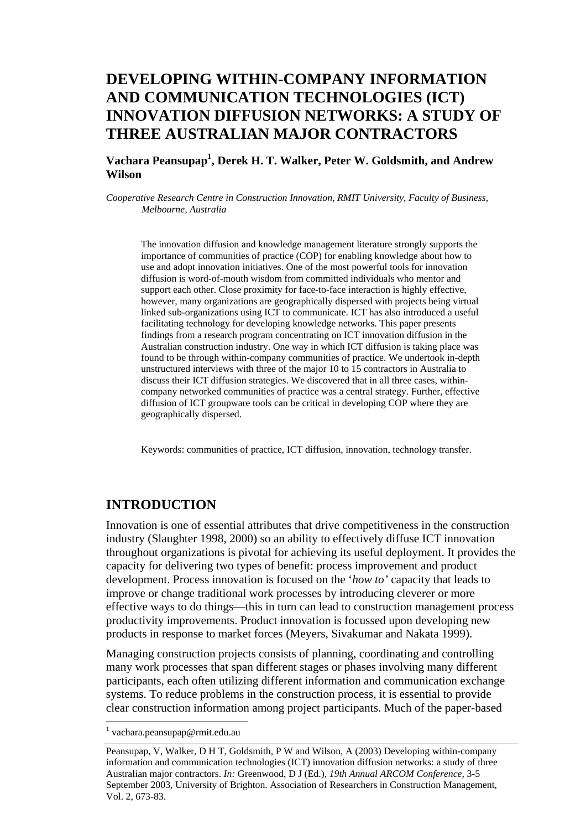# **DEVELOPING WITHIN-COMPANY INFORMATION AND COMMUNICATION TECHNOLOGIES (ICT) INNOVATION DIFFUSION NETWORKS: A STUDY OF THREE AUSTRALIAN MAJOR CONTRACTORS**

### **Vachara Peansupap<sup>1</sup> , Derek H. T. Walker, Peter W. Goldsmith, and Andrew Wilson**

*Cooperative Research Centre in Construction Innovation, RMIT University, Faculty of Business, Melbourne, Australia* 

The innovation diffusion and knowledge management literature strongly supports the importance of communities of practice (COP) for enabling knowledge about how to use and adopt innovation initiatives. One of the most powerful tools for innovation diffusion is word-of-mouth wisdom from committed individuals who mentor and support each other. Close proximity for face-to-face interaction is highly effective, however, many organizations are geographically dispersed with projects being virtual linked sub-organizations using ICT to communicate. ICT has also introduced a useful facilitating technology for developing knowledge networks. This paper presents findings from a research program concentrating on ICT innovation diffusion in the Australian construction industry. One way in which ICT diffusion is taking place was found to be through within-company communities of practice. We undertook in-depth unstructured interviews with three of the major 10 to 15 contractors in Australia to discuss their ICT diffusion strategies. We discovered that in all three cases, withincompany networked communities of practice was a central strategy. Further, effective diffusion of ICT groupware tools can be critical in developing COP where they are geographically dispersed.

Keywords: communities of practice, ICT diffusion, innovation, technology transfer.

## **INTRODUCTION**

Innovation is one of essential attributes that drive competitiveness in the construction industry (Slaughter 1998, 2000) so an ability to effectively diffuse ICT innovation throughout organizations is pivotal for achieving its useful deployment. It provides the capacity for delivering two types of benefit: process improvement and product development. Process innovation is focused on the '*how to'* capacity that leads to improve or change traditional work processes by introducing cleverer or more effective ways to do things—this in turn can lead to construction management process productivity improvements. Product innovation is focussed upon developing new products in response to market forces (Meyers, Sivakumar and Nakata 1999).

Managing construction projects consists of planning, coordinating and controlling many work processes that span different stages or phases involving many different participants, each often utilizing different information and communication exchange systems. To reduce problems in the construction process, it is essential to provide clear construction information among project participants. Much of the paper-based

l

<sup>1</sup> vachara.peansupap@rmit.edu.au

Peansupap, V, Walker, D H T, Goldsmith, P W and Wilson, A (2003) Developing within-company information and communication technologies (ICT) innovation diffusion networks: a study of three Australian major contractors. *In:* Greenwood, D J (Ed.), *19th Annual ARCOM Conference*, 3-5 September 2003, University of Brighton. Association of Researchers in Construction Management, Vol. 2, 673-83.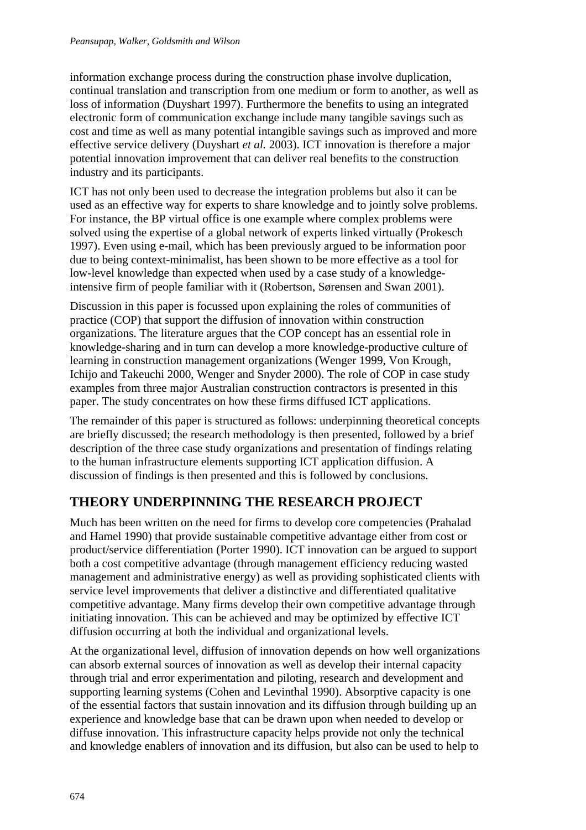information exchange process during the construction phase involve duplication, continual translation and transcription from one medium or form to another, as well as loss of information (Duyshart 1997). Furthermore the benefits to using an integrated electronic form of communication exchange include many tangible savings such as cost and time as well as many potential intangible savings such as improved and more effective service delivery (Duyshart *et al.* 2003). ICT innovation is therefore a major potential innovation improvement that can deliver real benefits to the construction industry and its participants.

ICT has not only been used to decrease the integration problems but also it can be used as an effective way for experts to share knowledge and to jointly solve problems. For instance, the BP virtual office is one example where complex problems were solved using the expertise of a global network of experts linked virtually (Prokesch 1997). Even using e-mail, which has been previously argued to be information poor due to being context-minimalist, has been shown to be more effective as a tool for low-level knowledge than expected when used by a case study of a knowledgeintensive firm of people familiar with it (Robertson, Sørensen and Swan 2001).

Discussion in this paper is focussed upon explaining the roles of communities of practice (COP) that support the diffusion of innovation within construction organizations. The literature argues that the COP concept has an essential role in knowledge-sharing and in turn can develop a more knowledge-productive culture of learning in construction management organizations (Wenger 1999, Von Krough, Ichijo and Takeuchi 2000, Wenger and Snyder 2000). The role of COP in case study examples from three major Australian construction contractors is presented in this paper. The study concentrates on how these firms diffused ICT applications.

The remainder of this paper is structured as follows: underpinning theoretical concepts are briefly discussed; the research methodology is then presented, followed by a brief description of the three case study organizations and presentation of findings relating to the human infrastructure elements supporting ICT application diffusion. A discussion of findings is then presented and this is followed by conclusions.

# **THEORY UNDERPINNING THE RESEARCH PROJECT**

Much has been written on the need for firms to develop core competencies (Prahalad and Hamel 1990) that provide sustainable competitive advantage either from cost or product/service differentiation (Porter 1990). ICT innovation can be argued to support both a cost competitive advantage (through management efficiency reducing wasted management and administrative energy) as well as providing sophisticated clients with service level improvements that deliver a distinctive and differentiated qualitative competitive advantage. Many firms develop their own competitive advantage through initiating innovation. This can be achieved and may be optimized by effective ICT diffusion occurring at both the individual and organizational levels.

At the organizational level, diffusion of innovation depends on how well organizations can absorb external sources of innovation as well as develop their internal capacity through trial and error experimentation and piloting, research and development and supporting learning systems (Cohen and Levinthal 1990). Absorptive capacity is one of the essential factors that sustain innovation and its diffusion through building up an experience and knowledge base that can be drawn upon when needed to develop or diffuse innovation. This infrastructure capacity helps provide not only the technical and knowledge enablers of innovation and its diffusion, but also can be used to help to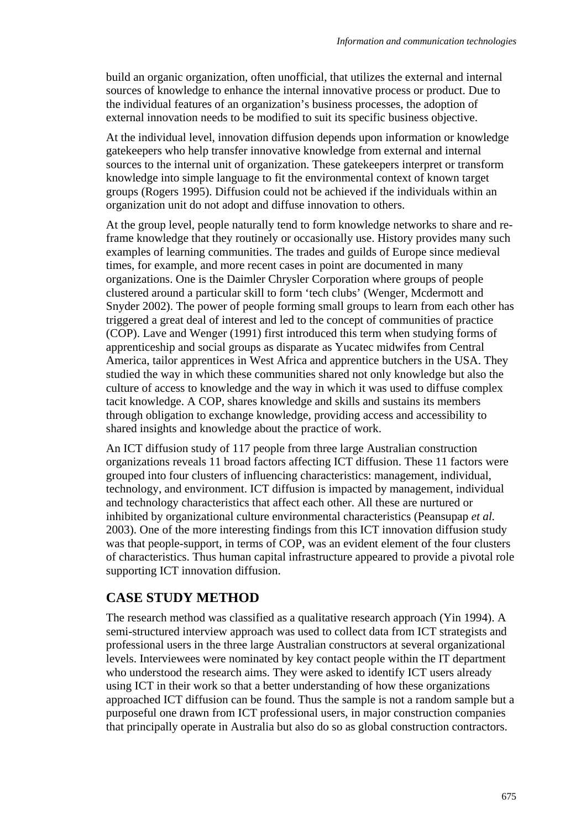build an organic organization, often unofficial, that utilizes the external and internal sources of knowledge to enhance the internal innovative process or product. Due to the individual features of an organization's business processes, the adoption of external innovation needs to be modified to suit its specific business objective.

At the individual level, innovation diffusion depends upon information or knowledge gatekeepers who help transfer innovative knowledge from external and internal sources to the internal unit of organization. These gatekeepers interpret or transform knowledge into simple language to fit the environmental context of known target groups (Rogers 1995). Diffusion could not be achieved if the individuals within an organization unit do not adopt and diffuse innovation to others.

At the group level, people naturally tend to form knowledge networks to share and reframe knowledge that they routinely or occasionally use. History provides many such examples of learning communities. The trades and guilds of Europe since medieval times, for example, and more recent cases in point are documented in many organizations. One is the Daimler Chrysler Corporation where groups of people clustered around a particular skill to form 'tech clubs' (Wenger, Mcdermott and Snyder 2002). The power of people forming small groups to learn from each other has triggered a great deal of interest and led to the concept of communities of practice (COP). Lave and Wenger (1991) first introduced this term when studying forms of apprenticeship and social groups as disparate as Yucatec midwifes from Central America, tailor apprentices in West Africa and apprentice butchers in the USA. They studied the way in which these communities shared not only knowledge but also the culture of access to knowledge and the way in which it was used to diffuse complex tacit knowledge. A COP, shares knowledge and skills and sustains its members through obligation to exchange knowledge, providing access and accessibility to shared insights and knowledge about the practice of work.

An ICT diffusion study of 117 people from three large Australian construction organizations reveals 11 broad factors affecting ICT diffusion. These 11 factors were grouped into four clusters of influencing characteristics: management, individual, technology, and environment. ICT diffusion is impacted by management, individual and technology characteristics that affect each other. All these are nurtured or inhibited by organizational culture environmental characteristics (Peansupap *et al.* 2003). One of the more interesting findings from this ICT innovation diffusion study was that people-support, in terms of COP, was an evident element of the four clusters of characteristics. Thus human capital infrastructure appeared to provide a pivotal role supporting ICT innovation diffusion.

## **CASE STUDY METHOD**

The research method was classified as a qualitative research approach (Yin 1994). A semi-structured interview approach was used to collect data from ICT strategists and professional users in the three large Australian constructors at several organizational levels. Interviewees were nominated by key contact people within the IT department who understood the research aims. They were asked to identify ICT users already using ICT in their work so that a better understanding of how these organizations approached ICT diffusion can be found. Thus the sample is not a random sample but a purposeful one drawn from ICT professional users, in major construction companies that principally operate in Australia but also do so as global construction contractors.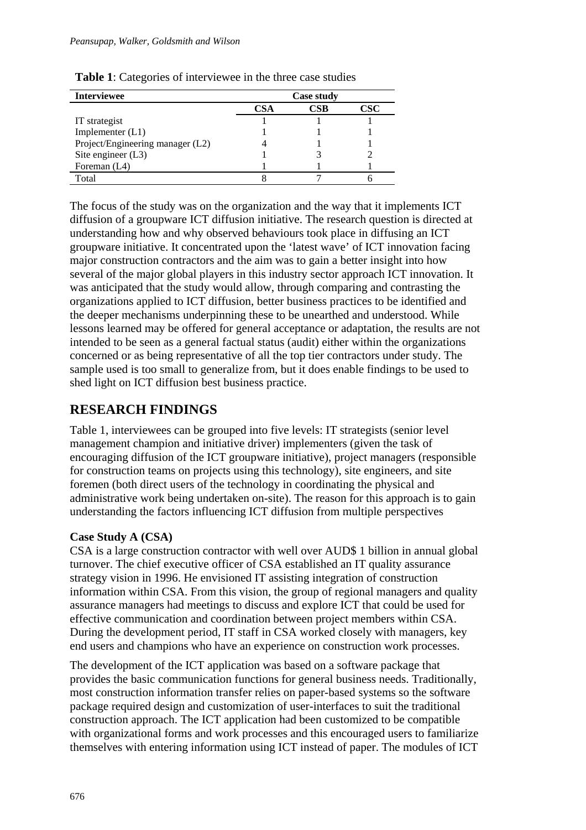#### *Peansupap, Walker, Goldsmith and Wilson*

| <b>Interviewee</b>               | <b>Case study</b> |     |     |
|----------------------------------|-------------------|-----|-----|
|                                  | CSA               | CSB | CSC |
| IT strategist                    |                   |     |     |
| Implementer $(L1)$               |                   |     |     |
| Project/Engineering manager (L2) |                   |     |     |
| Site engineer $(L3)$             |                   |     |     |
| Foreman (L4)                     |                   |     |     |
| Total                            |                   |     |     |

**Table 1**: Categories of interviewee in the three case studies

The focus of the study was on the organization and the way that it implements ICT diffusion of a groupware ICT diffusion initiative. The research question is directed at understanding how and why observed behaviours took place in diffusing an ICT groupware initiative. It concentrated upon the 'latest wave' of ICT innovation facing major construction contractors and the aim was to gain a better insight into how several of the major global players in this industry sector approach ICT innovation. It was anticipated that the study would allow, through comparing and contrasting the organizations applied to ICT diffusion, better business practices to be identified and the deeper mechanisms underpinning these to be unearthed and understood. While lessons learned may be offered for general acceptance or adaptation, the results are not intended to be seen as a general factual status (audit) either within the organizations concerned or as being representative of all the top tier contractors under study. The sample used is too small to generalize from, but it does enable findings to be used to shed light on ICT diffusion best business practice.

# **RESEARCH FINDINGS**

Table 1, interviewees can be grouped into five levels: IT strategists (senior level management champion and initiative driver) implementers (given the task of encouraging diffusion of the ICT groupware initiative), project managers (responsible for construction teams on projects using this technology), site engineers, and site foremen (both direct users of the technology in coordinating the physical and administrative work being undertaken on-site). The reason for this approach is to gain understanding the factors influencing ICT diffusion from multiple perspectives

## **Case Study A (CSA)**

CSA is a large construction contractor with well over AUD\$ 1 billion in annual global turnover. The chief executive officer of CSA established an IT quality assurance strategy vision in 1996. He envisioned IT assisting integration of construction information within CSA. From this vision, the group of regional managers and quality assurance managers had meetings to discuss and explore ICT that could be used for effective communication and coordination between project members within CSA. During the development period, IT staff in CSA worked closely with managers, key end users and champions who have an experience on construction work processes.

The development of the ICT application was based on a software package that provides the basic communication functions for general business needs. Traditionally, most construction information transfer relies on paper-based systems so the software package required design and customization of user-interfaces to suit the traditional construction approach. The ICT application had been customized to be compatible with organizational forms and work processes and this encouraged users to familiarize themselves with entering information using ICT instead of paper. The modules of ICT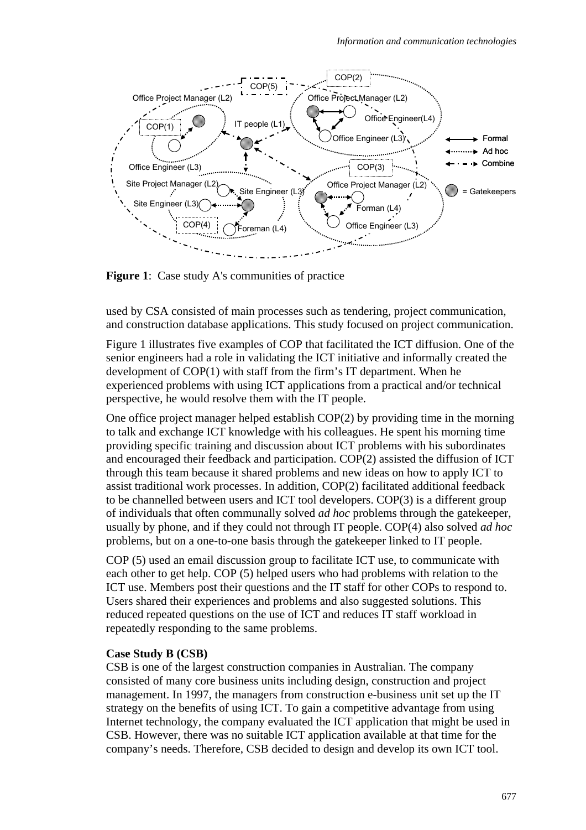

**Figure 1:** Case study A's communities of practice

used by CSA consisted of main processes such as tendering, project communication, and construction database applications. This study focused on project communication.

Figure 1 illustrates five examples of COP that facilitated the ICT diffusion. One of the senior engineers had a role in validating the ICT initiative and informally created the development of COP(1) with staff from the firm's IT department. When he experienced problems with using ICT applications from a practical and/or technical perspective, he would resolve them with the IT people.

One office project manager helped establish COP(2) by providing time in the morning to talk and exchange ICT knowledge with his colleagues. He spent his morning time providing specific training and discussion about ICT problems with his subordinates and encouraged their feedback and participation. COP(2) assisted the diffusion of ICT through this team because it shared problems and new ideas on how to apply ICT to assist traditional work processes. In addition, COP(2) facilitated additional feedback to be channelled between users and ICT tool developers. COP(3) is a different group of individuals that often communally solved *ad hoc* problems through the gatekeeper, usually by phone, and if they could not through IT people. COP(4) also solved *ad hoc* problems, but on a one-to-one basis through the gatekeeper linked to IT people.

COP (5) used an email discussion group to facilitate ICT use, to communicate with each other to get help. COP (5) helped users who had problems with relation to the ICT use. Members post their questions and the IT staff for other COPs to respond to. Users shared their experiences and problems and also suggested solutions. This reduced repeated questions on the use of ICT and reduces IT staff workload in repeatedly responding to the same problems.

#### **Case Study B (CSB)**

CSB is one of the largest construction companies in Australian. The company consisted of many core business units including design, construction and project management. In 1997, the managers from construction e-business unit set up the IT strategy on the benefits of using ICT. To gain a competitive advantage from using Internet technology, the company evaluated the ICT application that might be used in CSB. However, there was no suitable ICT application available at that time for the company's needs. Therefore, CSB decided to design and develop its own ICT tool.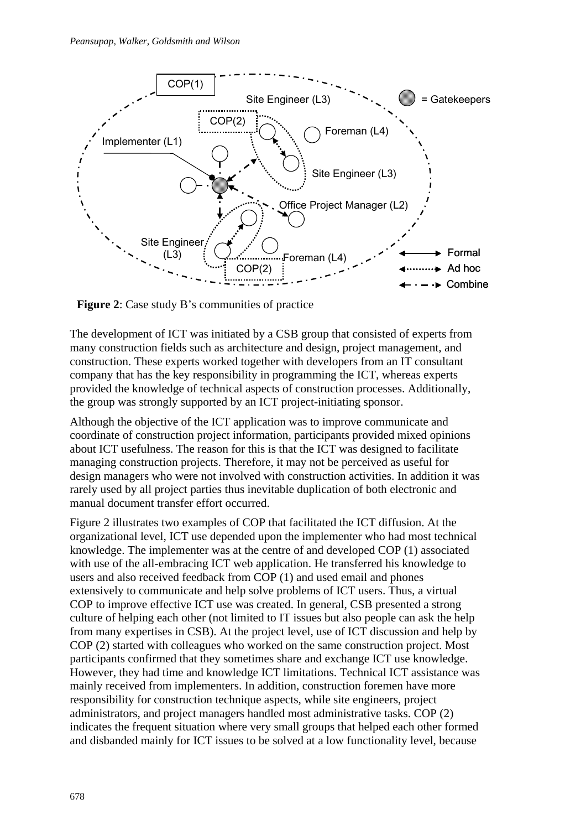

**Figure 2:** Case study B's communities of practice

The development of ICT was initiated by a CSB group that consisted of experts from many construction fields such as architecture and design, project management, and construction. These experts worked together with developers from an IT consultant company that has the key responsibility in programming the ICT, whereas experts provided the knowledge of technical aspects of construction processes. Additionally, the group was strongly supported by an ICT project-initiating sponsor.

Although the objective of the ICT application was to improve communicate and coordinate of construction project information, participants provided mixed opinions about ICT usefulness. The reason for this is that the ICT was designed to facilitate managing construction projects. Therefore, it may not be perceived as useful for design managers who were not involved with construction activities. In addition it was rarely used by all project parties thus inevitable duplication of both electronic and manual document transfer effort occurred.

Figure 2 illustrates two examples of COP that facilitated the ICT diffusion. At the organizational level, ICT use depended upon the implementer who had most technical knowledge. The implementer was at the centre of and developed COP (1) associated with use of the all-embracing ICT web application. He transferred his knowledge to users and also received feedback from COP (1) and used email and phones extensively to communicate and help solve problems of ICT users. Thus, a virtual COP to improve effective ICT use was created. In general, CSB presented a strong culture of helping each other (not limited to IT issues but also people can ask the help from many expertises in CSB). At the project level, use of ICT discussion and help by COP (2) started with colleagues who worked on the same construction project. Most participants confirmed that they sometimes share and exchange ICT use knowledge. However, they had time and knowledge ICT limitations. Technical ICT assistance was mainly received from implementers. In addition, construction foremen have more responsibility for construction technique aspects, while site engineers, project administrators, and project managers handled most administrative tasks. COP (2) indicates the frequent situation where very small groups that helped each other formed and disbanded mainly for ICT issues to be solved at a low functionality level, because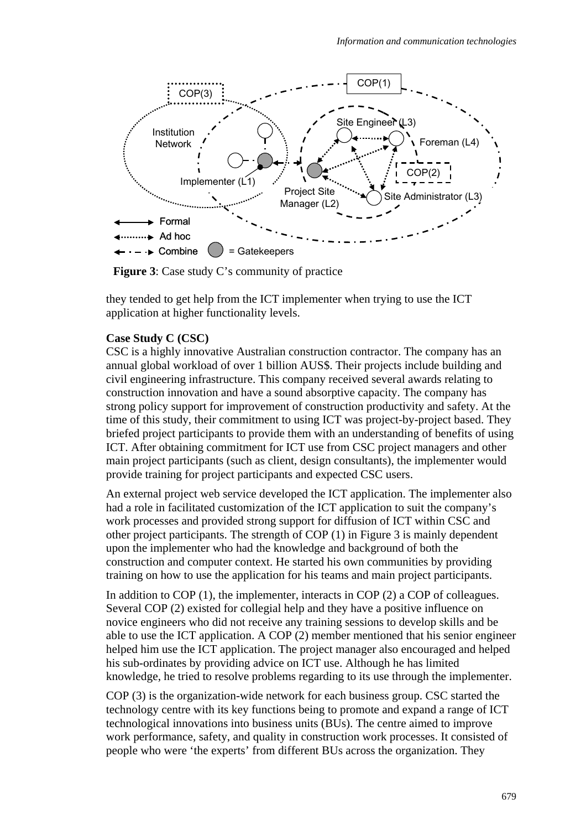

**Figure 3**: Case study C's community of practice

they tended to get help from the ICT implementer when trying to use the ICT application at higher functionality levels.

#### **Case Study C (CSC)**

CSC is a highly innovative Australian construction contractor. The company has an annual global workload of over 1 billion AUS\$. Their projects include building and civil engineering infrastructure. This company received several awards relating to construction innovation and have a sound absorptive capacity. The company has strong policy support for improvement of construction productivity and safety. At the time of this study, their commitment to using ICT was project-by-project based. They briefed project participants to provide them with an understanding of benefits of using ICT. After obtaining commitment for ICT use from CSC project managers and other main project participants (such as client, design consultants), the implementer would provide training for project participants and expected CSC users.

An external project web service developed the ICT application. The implementer also had a role in facilitated customization of the ICT application to suit the company's work processes and provided strong support for diffusion of ICT within CSC and other project participants. The strength of COP (1) in Figure 3 is mainly dependent upon the implementer who had the knowledge and background of both the construction and computer context. He started his own communities by providing training on how to use the application for his teams and main project participants.

In addition to COP (1), the implementer, interacts in COP (2) a COP of colleagues. Several COP (2) existed for collegial help and they have a positive influence on novice engineers who did not receive any training sessions to develop skills and be able to use the ICT application. A COP (2) member mentioned that his senior engineer helped him use the ICT application. The project manager also encouraged and helped his sub-ordinates by providing advice on ICT use. Although he has limited knowledge, he tried to resolve problems regarding to its use through the implementer.

COP (3) is the organization-wide network for each business group. CSC started the technology centre with its key functions being to promote and expand a range of ICT technological innovations into business units (BUs). The centre aimed to improve work performance, safety, and quality in construction work processes. It consisted of people who were 'the experts' from different BUs across the organization. They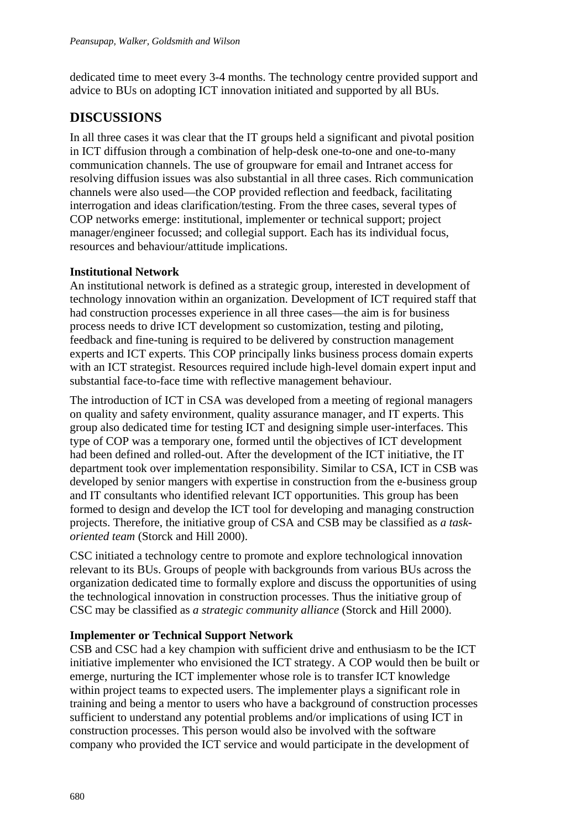dedicated time to meet every 3-4 months. The technology centre provided support and advice to BUs on adopting ICT innovation initiated and supported by all BUs.

# **DISCUSSIONS**

In all three cases it was clear that the IT groups held a significant and pivotal position in ICT diffusion through a combination of help-desk one-to-one and one-to-many communication channels. The use of groupware for email and Intranet access for resolving diffusion issues was also substantial in all three cases. Rich communication channels were also used—the COP provided reflection and feedback, facilitating interrogation and ideas clarification/testing. From the three cases, several types of COP networks emerge: institutional, implementer or technical support; project manager/engineer focussed; and collegial support. Each has its individual focus, resources and behaviour/attitude implications.

## **Institutional Network**

An institutional network is defined as a strategic group, interested in development of technology innovation within an organization. Development of ICT required staff that had construction processes experience in all three cases—the aim is for business process needs to drive ICT development so customization, testing and piloting, feedback and fine-tuning is required to be delivered by construction management experts and ICT experts. This COP principally links business process domain experts with an ICT strategist. Resources required include high-level domain expert input and substantial face-to-face time with reflective management behaviour.

The introduction of ICT in CSA was developed from a meeting of regional managers on quality and safety environment, quality assurance manager, and IT experts. This group also dedicated time for testing ICT and designing simple user-interfaces. This type of COP was a temporary one, formed until the objectives of ICT development had been defined and rolled-out. After the development of the ICT initiative, the IT department took over implementation responsibility. Similar to CSA, ICT in CSB was developed by senior mangers with expertise in construction from the e-business group and IT consultants who identified relevant ICT opportunities. This group has been formed to design and develop the ICT tool for developing and managing construction projects. Therefore, the initiative group of CSA and CSB may be classified as *a taskoriented team* (Storck and Hill 2000).

CSC initiated a technology centre to promote and explore technological innovation relevant to its BUs. Groups of people with backgrounds from various BUs across the organization dedicated time to formally explore and discuss the opportunities of using the technological innovation in construction processes. Thus the initiative group of CSC may be classified as *a strategic community alliance* (Storck and Hill 2000).

## **Implementer or Technical Support Network**

CSB and CSC had a key champion with sufficient drive and enthusiasm to be the ICT initiative implementer who envisioned the ICT strategy. A COP would then be built or emerge, nurturing the ICT implementer whose role is to transfer ICT knowledge within project teams to expected users. The implementer plays a significant role in training and being a mentor to users who have a background of construction processes sufficient to understand any potential problems and/or implications of using ICT in construction processes. This person would also be involved with the software company who provided the ICT service and would participate in the development of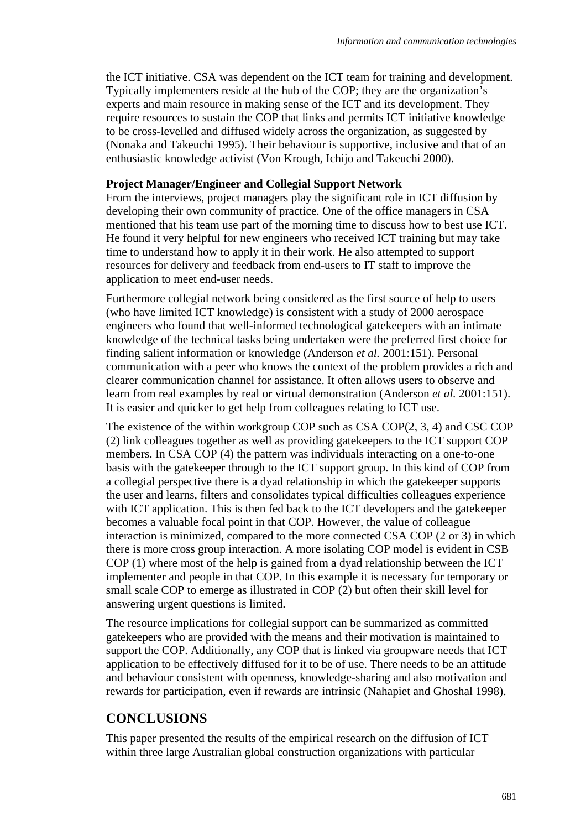the ICT initiative. CSA was dependent on the ICT team for training and development. Typically implementers reside at the hub of the COP; they are the organization's experts and main resource in making sense of the ICT and its development. They require resources to sustain the COP that links and permits ICT initiative knowledge to be cross-levelled and diffused widely across the organization, as suggested by (Nonaka and Takeuchi 1995). Their behaviour is supportive, inclusive and that of an enthusiastic knowledge activist (Von Krough, Ichijo and Takeuchi 2000).

### **Project Manager/Engineer and Collegial Support Network**

From the interviews, project managers play the significant role in ICT diffusion by developing their own community of practice. One of the office managers in CSA mentioned that his team use part of the morning time to discuss how to best use ICT. He found it very helpful for new engineers who received ICT training but may take time to understand how to apply it in their work. He also attempted to support resources for delivery and feedback from end-users to IT staff to improve the application to meet end-user needs.

Furthermore collegial network being considered as the first source of help to users (who have limited ICT knowledge) is consistent with a study of 2000 aerospace engineers who found that well-informed technological gatekeepers with an intimate knowledge of the technical tasks being undertaken were the preferred first choice for finding salient information or knowledge (Anderson *et al.* 2001:151). Personal communication with a peer who knows the context of the problem provides a rich and clearer communication channel for assistance. It often allows users to observe and learn from real examples by real or virtual demonstration (Anderson *et al.* 2001:151). It is easier and quicker to get help from colleagues relating to ICT use.

The existence of the within workgroup COP such as CSA COP(2, 3, 4) and CSC COP (2) link colleagues together as well as providing gatekeepers to the ICT support COP members. In CSA COP (4) the pattern was individuals interacting on a one-to-one basis with the gatekeeper through to the ICT support group. In this kind of COP from a collegial perspective there is a dyad relationship in which the gatekeeper supports the user and learns, filters and consolidates typical difficulties colleagues experience with ICT application. This is then fed back to the ICT developers and the gatekeeper becomes a valuable focal point in that COP. However, the value of colleague interaction is minimized, compared to the more connected CSA COP (2 or 3) in which there is more cross group interaction. A more isolating COP model is evident in CSB COP (1) where most of the help is gained from a dyad relationship between the ICT implementer and people in that COP. In this example it is necessary for temporary or small scale COP to emerge as illustrated in COP (2) but often their skill level for answering urgent questions is limited.

The resource implications for collegial support can be summarized as committed gatekeepers who are provided with the means and their motivation is maintained to support the COP. Additionally, any COP that is linked via groupware needs that ICT application to be effectively diffused for it to be of use. There needs to be an attitude and behaviour consistent with openness, knowledge-sharing and also motivation and rewards for participation, even if rewards are intrinsic (Nahapiet and Ghoshal 1998).

# **CONCLUSIONS**

This paper presented the results of the empirical research on the diffusion of ICT within three large Australian global construction organizations with particular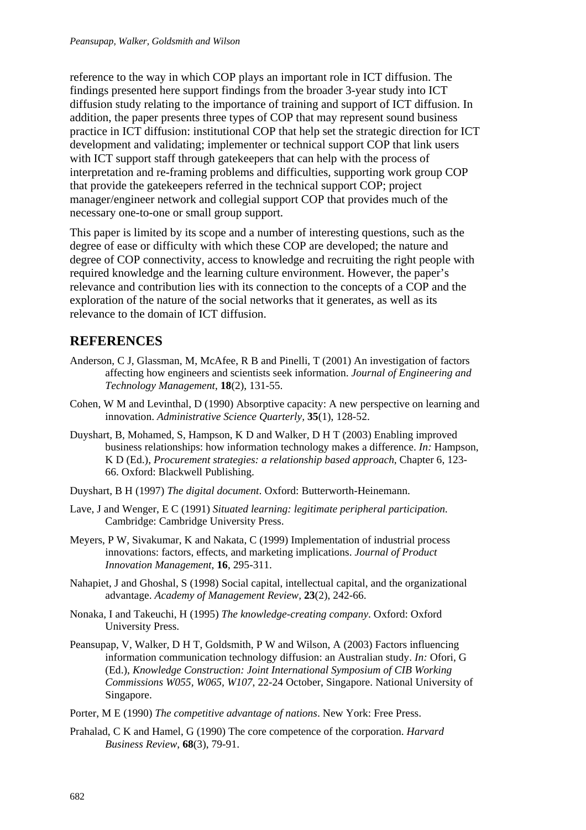reference to the way in which COP plays an important role in ICT diffusion. The findings presented here support findings from the broader 3-year study into ICT diffusion study relating to the importance of training and support of ICT diffusion. In addition, the paper presents three types of COP that may represent sound business practice in ICT diffusion: institutional COP that help set the strategic direction for ICT development and validating; implementer or technical support COP that link users with ICT support staff through gatekeepers that can help with the process of interpretation and re-framing problems and difficulties, supporting work group COP that provide the gatekeepers referred in the technical support COP; project manager/engineer network and collegial support COP that provides much of the necessary one-to-one or small group support.

This paper is limited by its scope and a number of interesting questions, such as the degree of ease or difficulty with which these COP are developed; the nature and degree of COP connectivity, access to knowledge and recruiting the right people with required knowledge and the learning culture environment. However, the paper's relevance and contribution lies with its connection to the concepts of a COP and the exploration of the nature of the social networks that it generates, as well as its relevance to the domain of ICT diffusion.

# **REFERENCES**

- Anderson, C J, Glassman, M, McAfee, R B and Pinelli, T (2001) An investigation of factors affecting how engineers and scientists seek information. *Journal of Engineering and Technology Management*, **18**(2), 131-55.
- Cohen, W M and Levinthal, D (1990) Absorptive capacity: A new perspective on learning and innovation. *Administrative Science Quarterly,* **35**(1), 128-52.
- Duyshart, B, Mohamed, S, Hampson, K D and Walker, D H T (2003) Enabling improved business relationships: how information technology makes a difference. *In:* Hampson, K D (Ed.), *Procurement strategies: a relationship based approach*, Chapter 6, 123- 66. Oxford: Blackwell Publishing.
- Duyshart, B H (1997) *The digital document*. Oxford: Butterworth-Heinemann.
- Lave, J and Wenger, E C (1991) *Situated learning: legitimate peripheral participation*. Cambridge: Cambridge University Press.
- Meyers, P W, Sivakumar, K and Nakata, C (1999) Implementation of industrial process innovations: factors, effects, and marketing implications. *Journal of Product Innovation Management*, **16**, 295-311.
- Nahapiet, J and Ghoshal, S (1998) Social capital, intellectual capital, and the organizational advantage. *Academy of Management Review,* **23**(2), 242-66.
- Nonaka, I and Takeuchi, H (1995) *The knowledge-creating company*. Oxford: Oxford University Press.
- Peansupap, V, Walker, D H T, Goldsmith, P W and Wilson, A (2003) Factors influencing information communication technology diffusion: an Australian study. *In:* Ofori, G (Ed.), *Knowledge Construction: Joint International Symposium of CIB Working Commissions W055, W065, W107*, 22-24 October, Singapore. National University of Singapore.
- Porter, M E (1990) *The competitive advantage of nations*. New York: Free Press.
- Prahalad, C K and Hamel, G (1990) The core competence of the corporation. *Harvard Business Review*, **68**(3), 79-91.